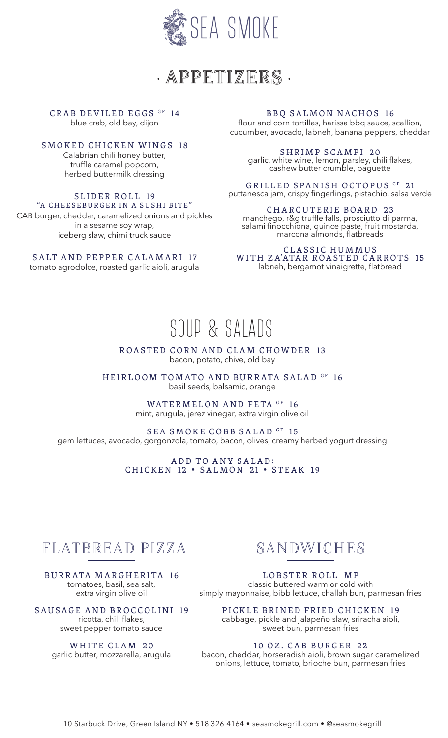

• APPETIZERS •

CRAB DEVILED EGGS GF 14 blue crab, old bay, dijon

SMOKED CHICKEN WINGS 18 Calabrian chili honey butter, truffle caramel popcorn, herbed buttermilk dressing

#### SLIDER ROLL 19 "A CHEESEBURGER IN A SUSHI BITE"

CAB burger, cheddar, caramelized onions and pickles in a sesame soy wrap, iceberg slaw, chimi truck sauce

### SALT AND PEPPER CALAMARI 17

tomato agrodolce, roasted garlic aioli, arugula

### BBQ SALMON NACHOS 16

flour and corn tortillas, harissa bbq sauce, scallion, cucumber, avocado, labneh, banana peppers, cheddar

SHRIMP SCAMPI 20 garlic, white wine, lemon, parsley, chili flakes, cashew butter crumble, baguette

GRILLED SPANISH OCTOPUS GF 21 puttanesca jam, crispy fingerlings, pistachio, salsa verde

CHARCUTERIE BOARD 23 manchego, r&g truffle falls, prosciutto di parma, salami finocchiona, quince paste, fruit mostarda, marcona almonds, flatbreads

#### CLASSIC HUMMUS WITH ZA'ATAR ROASTED CARROTS 15 labneh, bergamot vinaigrette, flatbread

# SOUP & SALADS

ROASTED CORN AND CLAM CHOWDER 13 bacon, potato, chive, old bay

HEIRLOOM TOMATO AND BURRATA SALAD GF 16 basil seeds, balsamic, orange

> WATERMELON AND FETA GF 16 mint, arugula, jerez vinegar, extra virgin olive oil

SEA SMOKE COBB SALAD GF 15 gem lettuces, avocado, gorgonzola, tomato, bacon, olives, creamy herbed yogurt dressing

> ADD TO ANY SALAD: CHICKEN 12 • SALMON 21 • STEAK 19

## FLATBREAD PIZZA

BURRATA MARGHERITA 16 tomatoes, basil, sea salt, extra virgin olive oil

SAUSAGE AND BROCCOLINI 19 ricotta, chili flakes, sweet pepper tomato sauce

> WHITE CLAM 20 garlic butter, mozzarella, arugula

## SANDWICHES

LOBSTER ROLL MP classic buttered warm or cold with simply mayonnaise, bibb lettuce, challah bun, parmesan fries

PICKLE BRINED FRIED CHICKEN 19 cabbage, pickle and jalapeño slaw, sriracha aioli, sweet bun, parmesan fries

### 10 OZ. CAB BURGER 22

bacon, cheddar, horseradish aioli, brown sugar caramelized onions, lettuce, tomato, brioche bun, parmesan fries